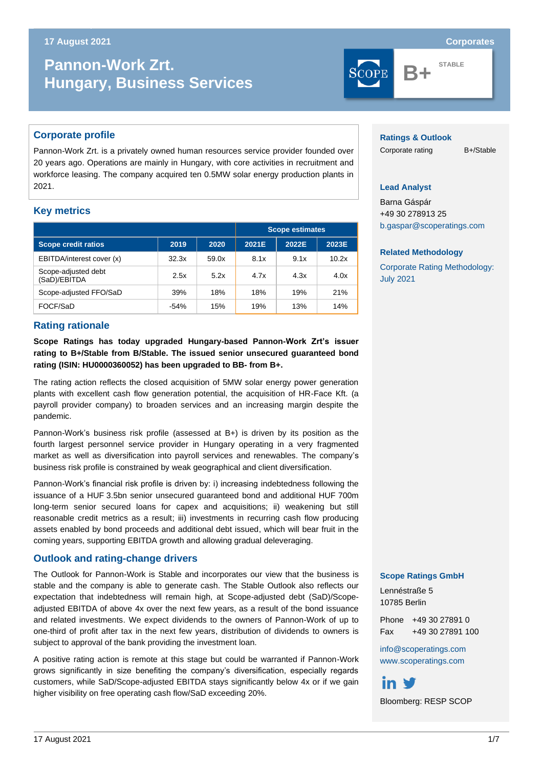#### s **17 August 2021 Corporates**

# **Pannon-Work Zrt. Pannon-Work Zrt. Pannon-Work Zrt. Hungary, Business Services**

## **Corporate profile**

Pannon-Work Zrt. is a privately owned human resources service provider founded over 20 years ago. Operations are mainly in Hungary, with core activities in recruitment and workforce leasing. The company acquired ten 0.5MW solar energy production plants in 2021.

# **Key metrics**

|                                     |        |       | <b>Scope estimates</b> |       |       |
|-------------------------------------|--------|-------|------------------------|-------|-------|
| <b>Scope credit ratios</b>          | 2019   | 2020  | 2021E                  | 2022E | 2023E |
| EBITDA/interest cover (x)           | 32.3x  | 59.0x | 8.1x                   | 9.1x  | 10.2x |
| Scope-adjusted debt<br>(SaD)/EBITDA | 2.5x   | 5.2x  | 4.7x                   | 4.3x  | 4.0x  |
| Scope-adjusted FFO/SaD              | 39%    | 18%   | 18%                    | 19%   | 21%   |
| FOCF/SaD                            | $-54%$ | 15%   | 19%                    | 13%   | 14%   |

#### **Ratings & Outlook**

Corporate rating B+/Stable

#### **Lead Analyst**

Barna Gáspár +49 30 278913 25 [b.gaspar@scoperatings.com](mailto:b.gaspar@scoperatings.com)

**B+ STABLE**

#### **Related Methodology**

[Corporate Rating Methodology:](https://www.scoperatings.com/ScopeRatingsApi/api/downloadmethodology?id=288180ad-b908-4f1b-872b-40617a2da901) July [2021](https://www.scoperatings.com/ScopeRatingsApi/api/downloadmethodology?id=288180ad-b908-4f1b-872b-40617a2da901)

## **Rating rationale**

**Scope Ratings has today upgraded Hungary-based Pannon-Work Zrt's issuer rating to B+/Stable from B/Stable. The issued senior unsecured guaranteed bond rating (ISIN: HU0000360052) has been upgraded to BB- from B+.**

The rating action reflects the closed acquisition of 5MW solar energy power generation plants with excellent cash flow generation potential, the acquisition of HR-Face Kft. (a payroll provider company) to broaden services and an increasing margin despite the pandemic.

Pannon-Work's business risk profile (assessed at B+) is driven by its position as the fourth largest personnel service provider in Hungary operating in a very fragmented market as well as diversification into payroll services and renewables. The company's business risk profile is constrained by weak geographical and client diversification.

Pannon-Work's financial risk profile is driven by: i) increasing indebtedness following the issuance of a HUF 3.5bn senior unsecured guaranteed bond and additional HUF 700m long-term senior secured loans for capex and acquisitions; ii) weakening but still reasonable credit metrics as a result; iii) investments in recurring cash flow producing assets enabled by bond proceeds and additional debt issued, which will bear fruit in the coming years, supporting EBITDA growth and allowing gradual deleveraging.

#### **Outlook and rating-change drivers**

The Outlook for Pannon-Work is Stable and incorporates our view that the business is stable and the company is able to generate cash. The Stable Outlook also reflects our expectation that indebtedness will remain high, at Scope-adjusted debt (SaD)/Scopeadjusted EBITDA of above 4x over the next few years, as a result of the bond issuance and related investments. We expect dividends to the owners of Pannon-Work of up to one-third of profit after tax in the next few years, distribution of dividends to owners is subject to approval of the bank providing the investment loan.

A positive rating action is remote at this stage but could be warranted if Pannon-Work grows significantly in size benefiting the company's diversification, especially regards customers, while SaD/Scope-adjusted EBITDA stays significantly below 4x or if we gain higher visibility on free operating cash flow/SaD exceeding 20%.

#### **Scope Ratings GmbH**

Lennéstraße 5 10785 Berlin

in V

Phone +49 30 27891 0 Fax +49 30 27891 100

[info@scoperatings.com](mailto:info@scoperatings.com) [www.scoperatings.com](https://www.scoperatings.com/#home)

Bloomberg: RESP SCOP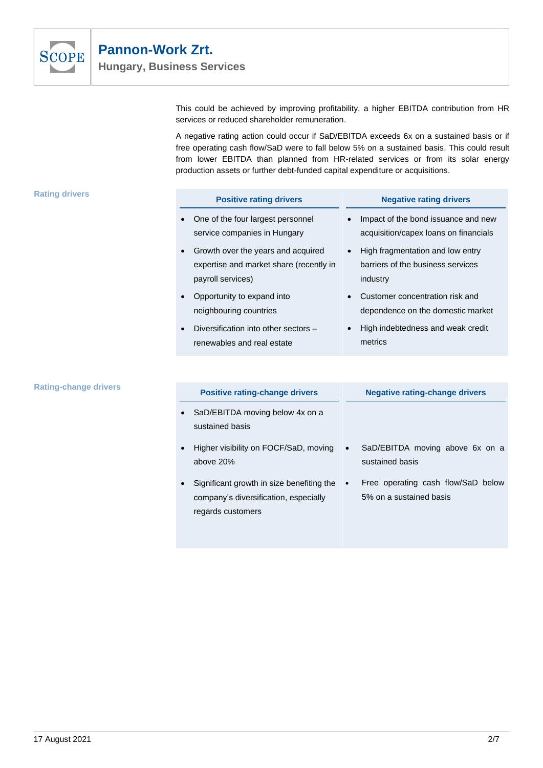

This could be achieved by improving profitability, a higher EBITDA contribution from HR services or reduced shareholder remuneration.

A negative rating action could occur if SaD/EBITDA exceeds 6x on a sustained basis or if free operating cash flow/SaD were to fall below 5% on a sustained basis. This could result from lower EBITDA than planned from HR-related services or from its solar energy production assets or further debt-funded capital expenditure or acquisitions.

5% on a sustained basis

| <b>Rating drivers</b>        | <b>Positive rating drivers</b>                                                                     | <b>Negative rating drivers</b>                                                    |  |  |
|------------------------------|----------------------------------------------------------------------------------------------------|-----------------------------------------------------------------------------------|--|--|
|                              | One of the four largest personnel<br>service companies in Hungary                                  | Impact of the bond issuance and new<br>acquisition/capex loans on financials      |  |  |
|                              | Growth over the years and acquired<br>expertise and market share (recently in<br>payroll services) | High fragmentation and low entry<br>barriers of the business services<br>industry |  |  |
|                              | Opportunity to expand into<br>neighbouring countries                                               | Customer concentration risk and<br>dependence on the domestic market              |  |  |
|                              | Diversification into other sectors -<br>renewables and real estate                                 | High indebtedness and weak credit<br>metrics                                      |  |  |
|                              |                                                                                                    |                                                                                   |  |  |
| <b>Rating-change drivers</b> | <b>Positive rating-change drivers</b>                                                              | <b>Negative rating-change drivers</b>                                             |  |  |
|                              | SaD/EBITDA moving below 4x on a<br>sustained basis                                                 |                                                                                   |  |  |
|                              | Higher visibility on FOCF/SaD, moving<br>above 20%                                                 | SaD/EBITDA moving above 6x on a<br>sustained basis                                |  |  |
|                              | Significant growth in size benefiting the                                                          | Free operating cash flow/SaD below                                                |  |  |

company's diversification, especially

regards customers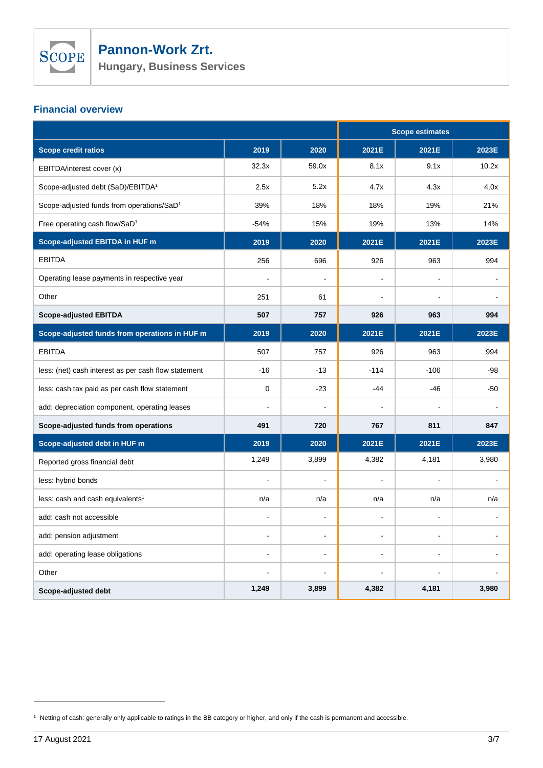

**Hungary, Business Services**

# **Financial overview**

|                                                       |                |                | <b>Scope estimates</b> |                |       |
|-------------------------------------------------------|----------------|----------------|------------------------|----------------|-------|
| Scope credit ratios                                   | 2019           | 2020           | 2021E                  | 2021E          | 2023E |
| EBITDA/interest cover (x)                             | 32.3x          | 59.0x          | 8.1x                   | 9.1x           | 10.2x |
| Scope-adjusted debt (SaD)/EBITDA <sup>1</sup>         | 2.5x           | 5.2x           | 4.7x                   | 4.3x           | 4.0x  |
| Scope-adjusted funds from operations/SaD <sup>1</sup> | 39%            | 18%            | 18%                    | 19%            | 21%   |
| Free operating cash flow/SaD <sup>1</sup>             | $-54%$         | 15%            | 19%                    | 13%            | 14%   |
| Scope-adjusted EBITDA in HUF m                        | 2019           | 2020           | 2021E                  | 2021E          | 2023E |
| <b>EBITDA</b>                                         | 256            | 696            | 926                    | 963            | 994   |
| Operating lease payments in respective year           | $\overline{a}$ | $\overline{a}$ | ÷,                     |                |       |
| Other                                                 | 251            | 61             |                        |                |       |
| <b>Scope-adjusted EBITDA</b>                          | 507            | 757            | 926                    | 963            | 994   |
| Scope-adjusted funds from operations in HUF m         | 2019           | 2020           | 2021E                  | 2021E          | 2023E |
| <b>EBITDA</b>                                         | 507            | 757            | 926                    | 963            | 994   |
| less: (net) cash interest as per cash flow statement  | $-16$          | $-13$          | $-114$                 | $-106$         | $-98$ |
| less: cash tax paid as per cash flow statement        | $\mathbf 0$    | $-23$          | $-44$                  | $-46$          | $-50$ |
| add: depreciation component, operating leases         |                |                |                        |                |       |
| Scope-adjusted funds from operations                  | 491            | 720            | 767                    | 811            | 847   |
| Scope-adjusted debt in HUF m                          | 2019           | 2020           | 2021E                  | 2021E          | 2023E |
| Reported gross financial debt                         | 1,249          | 3,899          | 4,382                  | 4,181          | 3,980 |
| less: hybrid bonds                                    |                |                |                        |                |       |
| less: cash and cash equivalents <sup>1</sup>          | n/a            | n/a            | n/a                    | n/a            | n/a   |
| add: cash not accessible                              |                | $\overline{a}$ |                        |                |       |
| add: pension adjustment                               | $\blacksquare$ | $\sim$         | $\blacksquare$         | $\blacksquare$ |       |
| add: operating lease obligations                      |                | $\overline{a}$ |                        |                |       |
| Other                                                 |                | $\blacksquare$ |                        |                |       |
| Scope-adjusted debt                                   | 1,249          | 3,899          | 4,382                  | 4,181          | 3,980 |

<sup>1</sup> Netting of cash: generally only applicable to ratings in the BB category or higher, and only if the cash is permanent and accessible.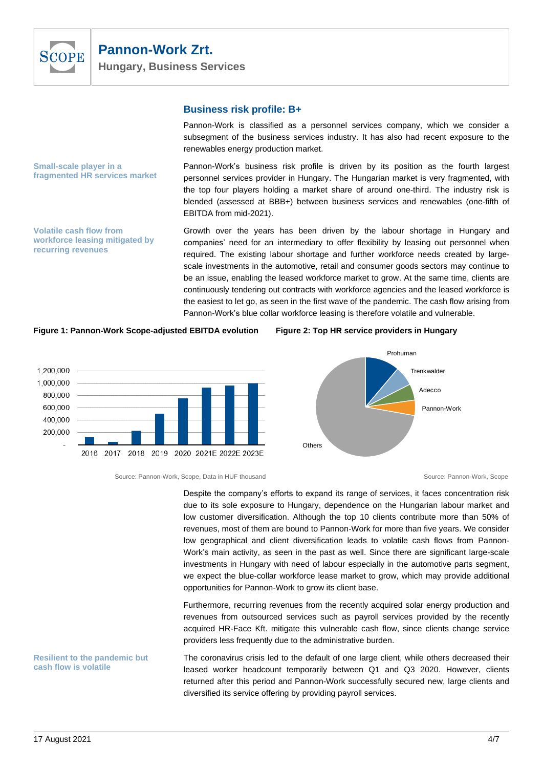

#### **Business risk profile: B+**

Pannon-Work is classified as a personnel services company, which we consider a subsegment of the business services industry. It has also had recent exposure to the renewables energy production market.

Pannon-Work's business risk profile is driven by its position as the fourth largest personnel services provider in Hungary. The Hungarian market is very fragmented, with the top four players holding a market share of around one-third. The industry risk is blended (assessed at BBB+) between business services and renewables (one-fifth of EBITDA from mid-2021).

**Volatile cash flow from workforce leasing mitigated by recurring revenues**

**fragmented HR services market**

**Small-scale player in a** 

Growth over the years has been driven by the labour shortage in Hungary and companies' need for an intermediary to offer flexibility by leasing out personnel when required. The existing labour shortage and further workforce needs created by largescale investments in the automotive, retail and consumer goods sectors may continue to be an issue, enabling the leased workforce market to grow. At the same time, clients are continuously tendering out contracts with workforce agencies and the leased workforce is the easiest to let go, as seen in the first wave of the pandemic. The cash flow arising from Pannon-Work's blue collar workforce leasing is therefore volatile and vulnerable.







Source: Pannon-Work, Scope, Data in HUF thousand Source: Pannon-Work, Scope, Source: Pannon-Work, Scope

Despite the company's efforts to expand its range of services, it faces concentration risk due to its sole exposure to Hungary, dependence on the Hungarian labour market and low customer diversification. Although the top 10 clients contribute more than 50% of revenues, most of them are bound to Pannon-Work for more than five years. We consider low geographical and client diversification leads to volatile cash flows from Pannon-Work's main activity, as seen in the past as well. Since there are significant large-scale investments in Hungary with need of labour especially in the automotive parts segment, we expect the blue-collar workforce lease market to grow, which may provide additional opportunities for Pannon-Work to grow its client base.

Furthermore, recurring revenues from the recently acquired solar energy production and revenues from outsourced services such as payroll services provided by the recently acquired HR-Face Kft. mitigate this vulnerable cash flow, since clients change service providers less frequently due to the administrative burden.

#### **Resilient to the pandemic but cash flow is volatile**

The coronavirus crisis led to the default of one large client, while others decreased their leased worker headcount temporarily between Q1 and Q3 2020. However, clients returned after this period and Pannon-Work successfully secured new, large clients and diversified its service offering by providing payroll services.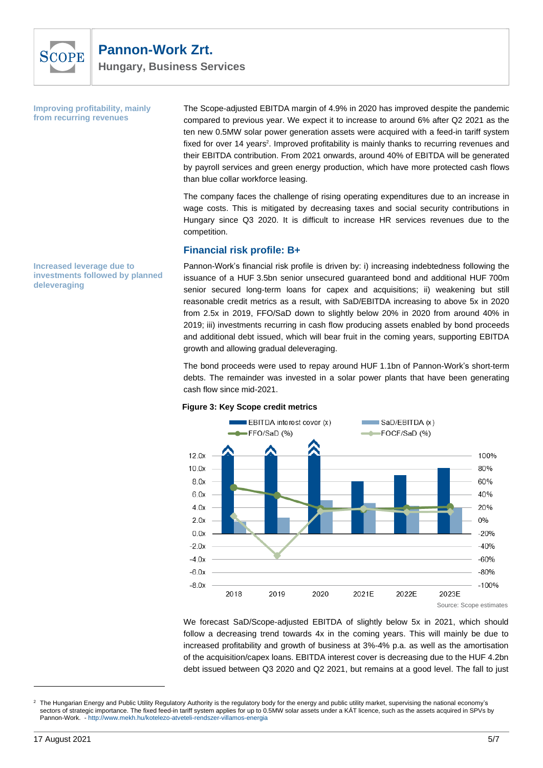

**Improving profitability, mainly from recurring revenues**

The Scope-adjusted EBITDA margin of 4.9% in 2020 has improved despite the pandemic compared to previous year. We expect it to increase to around 6% after Q2 2021 as the ten new 0.5MW solar power generation assets were acquired with a feed-in tariff system fixed for over 14 years<sup>2</sup>. Improved profitability is mainly thanks to recurring revenues and their EBITDA contribution. From 2021 onwards, around 40% of EBITDA will be generated by payroll services and green energy production, which have more protected cash flows than blue collar workforce leasing.

The company faces the challenge of rising operating expenditures due to an increase in wage costs. This is mitigated by decreasing taxes and social security contributions in Hungary since Q3 2020. It is difficult to increase HR services revenues due to the competition.

#### **Financial risk profile: B+**

Pannon-Work's financial risk profile is driven by: i) increasing indebtedness following the issuance of a HUF 3.5bn senior unsecured guaranteed bond and additional HUF 700m senior secured long-term loans for capex and acquisitions; ii) weakening but still reasonable credit metrics as a result, with SaD/EBITDA increasing to above 5x in 2020 from 2.5x in 2019, FFO/SaD down to slightly below 20% in 2020 from around 40% in 2019; iii) investments recurring in cash flow producing assets enabled by bond proceeds and additional debt issued, which will bear fruit in the coming years, supporting EBITDA growth and allowing gradual deleveraging.

The bond proceeds were used to repay around HUF 1.1bn of Pannon-Work's short-term debts. The remainder was invested in a solar power plants that have been generating cash flow since mid-2021.



#### **Figure 3: Key Scope credit metrics**

We forecast SaD/Scope-adjusted EBITDA of slightly below 5x in 2021, which should follow a decreasing trend towards 4x in the coming years. This will mainly be due to increased profitability and growth of business at 3%-4% p.a. as well as the amortisation of the acquisition/capex loans. EBITDA interest cover is decreasing due to the HUF 4.2bn debt issued between Q3 2020 and Q2 2021, but remains at a good level. The fall to just

**Increased leverage due to investments followed by planned deleveraging**

<sup>2</sup> The Hungarian Energy and Public Utility Regulatory Authority is the regulatory body for the energy and public utility market, supervising the national economy's sectors of strategic importance. The fixed feed-in tariff system applies for up to 0.5MW solar assets under a KÁT licence, such as the assets acquired in SPVs by Pannon-Work. - <http://www.mekh.hu/kotelezo-atveteli-rendszer-villamos-energia>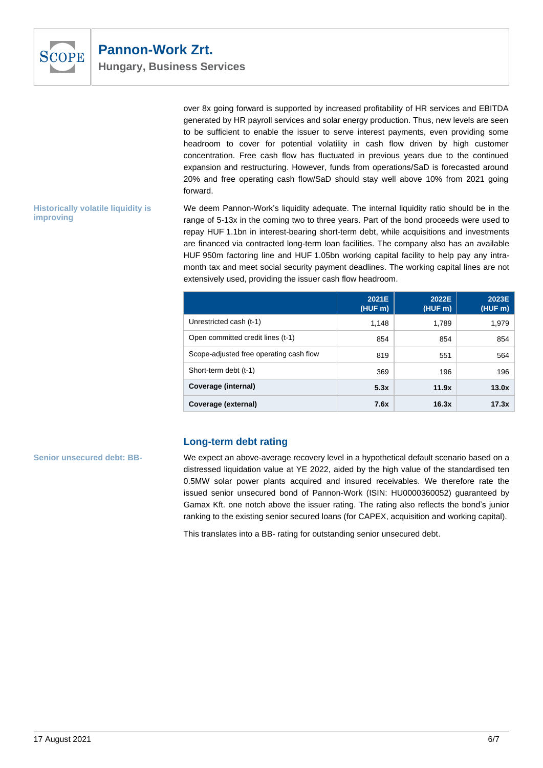

over 8x going forward is supported by increased profitability of HR services and EBITDA generated by HR payroll services and solar energy production. Thus, new levels are seen to be sufficient to enable the issuer to serve interest payments, even providing some headroom to cover for potential volatility in cash flow driven by high customer concentration. Free cash flow has fluctuated in previous years due to the continued expansion and restructuring. However, funds from operations/SaD is forecasted around 20% and free operating cash flow/SaD should stay well above 10% from 2021 going forward.

**Historically volatile liquidity is improving**

We deem Pannon-Work's liquidity adequate. The internal liquidity ratio should be in the range of 5-13x in the coming two to three years. Part of the bond proceeds were used to repay HUF 1.1bn in interest-bearing short-term debt, while acquisitions and investments are financed via contracted long-term loan facilities. The company also has an available HUF 950m factoring line and HUF 1.05bn working capital facility to help pay any intramonth tax and meet social security payment deadlines. The working capital lines are not extensively used, providing the issuer cash flow headroom.

|                                         | 2021E<br>(HUF m) | 2022E<br>(HUF m) | 2023E<br>(HUF m) |
|-----------------------------------------|------------------|------------------|------------------|
| Unrestricted cash (t-1)                 | 1.148            | 1,789            | 1.979            |
| Open committed credit lines (t-1)       | 854              | 854              | 854              |
| Scope-adjusted free operating cash flow | 819              | 551              | 564              |
| Short-term debt (t-1)                   | 369              | 196              | 196              |
| Coverage (internal)                     | 5.3x             | 11.9x            | 13.0x            |
| Coverage (external)                     | 7.6x             | 16.3x            | 17.3x            |

# **Long-term debt rating**

**Senior unsecured debt: BB-**

We expect an above-average recovery level in a hypothetical default scenario based on a distressed liquidation value at YE 2022, aided by the high value of the standardised ten 0.5MW solar power plants acquired and insured receivables. We therefore rate the issued senior unsecured bond of Pannon-Work (ISIN: HU0000360052) guaranteed by Gamax Kft. one notch above the issuer rating. The rating also reflects the bond's junior ranking to the existing senior secured loans (for CAPEX, acquisition and working capital).

This translates into a BB- rating for outstanding senior unsecured debt.